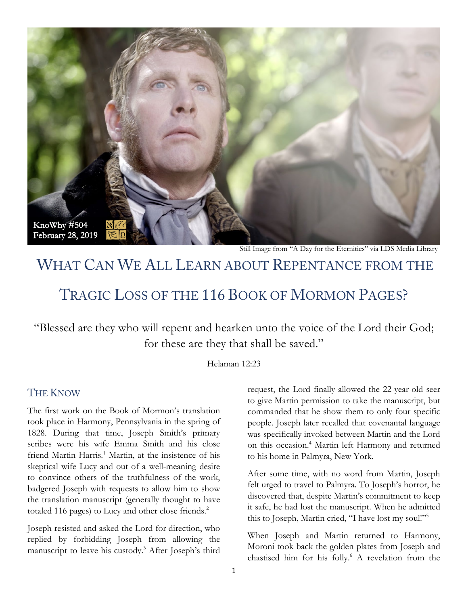

Still Image from "A Day for the Eternities" via LDS Media Library

# WHAT CAN WE ALL LEARN ABOUT REPENTANCE FROM THE

# TRAGIC LOSS OF THE 116 BOOK OF MORMON PAGES?

"Blessed are they who will repent and hearken unto the voice of the Lord their God; for these are they that shall be saved."

Helaman 12:23

#### THE KNOW

The first work on the Book of Mormon's translation took place in Harmony, Pennsylvania in the spring of 1828. During that time, Joseph Smith's primary scribes were his wife Emma Smith and his close friend Martin Harris.<sup>1</sup> Martin, at the insistence of his skeptical wife Lucy and out of a well-meaning desire to convince others of the truthfulness of the work, badgered Joseph with requests to allow him to show the translation manuscript (generally thought to have totaled 116 pages) to Lucy and other close friends. $2$ 

Joseph resisted and asked the Lord for direction, who replied by forbidding Joseph from allowing the manuscript to leave his custody.<sup>3</sup> After Joseph's third request, the Lord finally allowed the 22-year-old seer to give Martin permission to take the manuscript, but commanded that he show them to only four specific people. Joseph later recalled that covenantal language was specifically invoked between Martin and the Lord on this occasion.<sup>4</sup> Martin left Harmony and returned to his home in Palmyra, New York.

After some time, with no word from Martin, Joseph felt urged to travel to Palmyra. To Joseph's horror, he discovered that, despite Martin's commitment to keep it safe, he had lost the manuscript. When he admitted this to Joseph, Martin cried, "I have lost my soul!"5

When Joseph and Martin returned to Harmony, Moroni took back the golden plates from Joseph and chastised him for his folly.<sup>6</sup> A revelation from the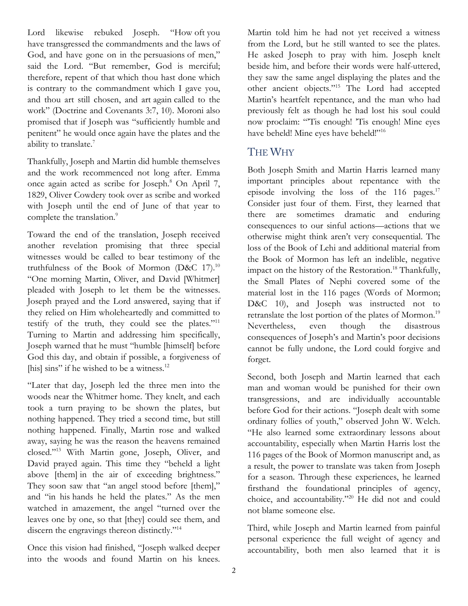Lord likewise rebuked Joseph. "How oft you have transgressed the commandments and the laws of God, and have gone on in the persuasions of men," said the Lord. "But remember, God is merciful; therefore, repent of that which thou hast done which is contrary to the commandment which I gave you, and thou art still chosen, and art again called to the work" (Doctrine and Covenants 3:7, 10). Moroni also promised that if Joseph was "sufficiently humble and penitent" he would once again have the plates and the ability to translate.<sup>7</sup>

Thankfully, Joseph and Martin did humble themselves and the work recommenced not long after. Emma once again acted as scribe for Joseph.8 On April 7, 1829, Oliver Cowdery took over as scribe and worked with Joseph until the end of June of that year to complete the translation.<sup>9</sup>

Toward the end of the translation, Joseph received another revelation promising that three special witnesses would be called to bear testimony of the truthfulness of the Book of Mormon (D&C 17).<sup>10</sup> "One morning Martin, Oliver, and David [Whitmer] pleaded with Joseph to let them be the witnesses. Joseph prayed and the Lord answered, saying that if they relied on Him wholeheartedly and committed to testify of the truth, they could see the plates. $11$ Turning to Martin and addressing him specifically, Joseph warned that he must "humble [himself] before God this day, and obtain if possible, a forgiveness of [his] sins" if he wished to be a witness.<sup>12</sup>

"Later that day, Joseph led the three men into the woods near the Whitmer home. They knelt, and each took a turn praying to be shown the plates, but nothing happened. They tried a second time, but still nothing happened. Finally, Martin rose and walked away, saying he was the reason the heavens remained closed."13 With Martin gone, Joseph, Oliver, and David prayed again. This time they "beheld a light above [them] in the air of exceeding brightness." They soon saw that "an angel stood before [them]," and "in his hands he held the plates." As the men watched in amazement, the angel "turned over the leaves one by one, so that [they] could see them, and discern the engravings thereon distinctly."14

Once this vision had finished, "Joseph walked deeper into the woods and found Martin on his knees. Martin told him he had not yet received a witness from the Lord, but he still wanted to see the plates. He asked Joseph to pray with him. Joseph knelt beside him, and before their words were half-uttered, they saw the same angel displaying the plates and the other ancient objects."15 The Lord had accepted Martin's heartfelt repentance, and the man who had previously felt as though he had lost his soul could now proclaim: "'Tis enough! 'Tis enough! Mine eyes have beheld! Mine eyes have beheld!"<sup>16</sup>

## THE WHY

Both Joseph Smith and Martin Harris learned many important principles about repentance with the episode involving the loss of the 116 pages. $17$ Consider just four of them. First, they learned that there are sometimes dramatic and enduring consequences to our sinful actions—actions that we otherwise might think aren't very consequential. The loss of the Book of Lehi and additional material from the Book of Mormon has left an indelible, negative impact on the history of the Restoration.<sup>18</sup> Thankfully, the Small Plates of Nephi covered some of the material lost in the 116 pages (Words of Mormon; D&C 10), and Joseph was instructed not to retranslate the lost portion of the plates of Mormon.<sup>19</sup> Nevertheless, even though the disastrous consequences of Joseph's and Martin's poor decisions cannot be fully undone, the Lord could forgive and forget.

Second, both Joseph and Martin learned that each man and woman would be punished for their own transgressions, and are individually accountable before God for their actions. "Joseph dealt with some ordinary follies of youth," observed John W. Welch. "He also learned some extraordinary lessons about accountability, especially when Martin Harris lost the 116 pages of the Book of Mormon manuscript and, as a result, the power to translate was taken from Joseph for a season. Through these experiences, he learned firsthand the foundational principles of agency, choice, and accountability."20 He did not and could not blame someone else.

Third, while Joseph and Martin learned from painful personal experience the full weight of agency and accountability, both men also learned that it is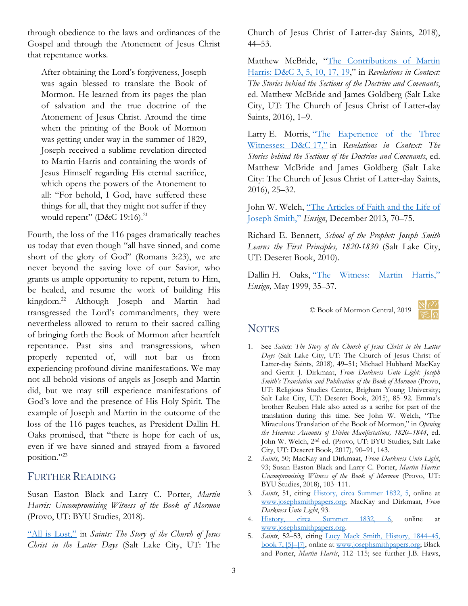through obedience to the laws and ordinances of the Gospel and through the Atonement of Jesus Christ that repentance works.

After obtaining the Lord's forgiveness, Joseph was again blessed to translate the Book of Mormon. He learned from its pages the plan of salvation and the true doctrine of the Atonement of Jesus Christ. Around the time when the printing of the Book of Mormon was getting under way in the summer of 1829, Joseph received a sublime revelation directed to Martin Harris and containing the words of Jesus Himself regarding His eternal sacrifice, which opens the powers of the Atonement to all: "For behold, I God, have suffered these things for all, that they might not suffer if they would repent" (D&C 19:16).<sup>21</sup>

Fourth, the loss of the 116 pages dramatically teaches us today that even though "all have sinned, and come short of the glory of God" (Romans 3:23), we are never beyond the saving love of our Savior, who grants us ample opportunity to repent, return to Him, be healed, and resume the work of building His kingdom.<sup>22</sup> Although Joseph and Martin had transgressed the Lord's commandments, they were nevertheless allowed to return to their sacred calling of bringing forth the Book of Mormon after heartfelt repentance. Past sins and transgressions, when properly repented of, will not bar us from experiencing profound divine manifestations. We may not all behold visions of angels as Joseph and Martin did, but we may still experience manifestations of God's love and the presence of His Holy Spirit. The example of Joseph and Martin in the outcome of the loss of the 116 pages teaches, as President Dallin H. Oaks promised, that "there is hope for each of us, even if we have sinned and strayed from a favored position."23

#### FURTHER READING

Susan Easton Black and Larry C. Porter, *Martin Harris: Uncompromising Witness of the Book of Mormon* (Provo, UT: BYU Studies, 2018).

["All is Lost,"](https://www.lds.org/study/history/saints-v1/05-all-is-lost?lang=eng) in *Saints: The Story of the Church of Jesus Christ in the Latter Days* (Salt Lake City, UT: The

Church of Jesus Christ of Latter-day Saints, 2018), 44–53.

Matthew McBride, ["The Contributions of Martin](https://history.lds.org/article/doctrine-and-covenants-martin-harris?lang=eng)  [Harris: D&C 3, 5, 10, 17, 19,](https://history.lds.org/article/doctrine-and-covenants-martin-harris?lang=eng)" in *Revelations in Context: The Stories behind the Sections of the Doctrine and Covenants*, ed. Matthew McBride and James Goldberg (Salt Lake City, UT: The Church of Jesus Christ of Latter-day Saints, 2016), 1–9.

Larry E. Morris, "The Experience of the Three [Witnesses: D&C](https://history.lds.org/article/doctrine-and-covenants-three-witnesses) 17," in *Revelations in Context: The Stories behind the Sections of the Doctrine and Covenants*, ed. Matthew McBride and James Goldberg (Salt Lake City: The Church of Jesus Christ of Latter-day Saints, 2016), 25–32.

John W. Welch, ["The Articles of Faith and the Life of](https://www.lds.org/ensign/2013/12/the-articles-of-faith-and-the-life-of-joseph-smith?lang=eng&_r=1)  [Joseph Smith,"](https://www.lds.org/ensign/2013/12/the-articles-of-faith-and-the-life-of-joseph-smith?lang=eng&_r=1) *Ensign*, December 2013, 70–75.

Richard E. Bennett, *School of the Prophet: Joseph Smith Learns the First Principles, 1820-1830* (Salt Lake City, UT: Deseret Book, 2010).

Dallin H. Oaks, ["The Witness: Martin Harris,"](https://www.lds.org/ensign/1999/05/the-witness-martin-harris?lang=eng) *Ensign,* May 1999, 35–37.

© Book of Mormon Central, 2019



## **NOTES**

- 1. See *Saints: The Story of the Church of Jesus Christ in the Latter Days* (Salt Lake City, UT: The Church of Jesus Christ of Latter-day Saints, 2018), 49–51; Michael Hubbard MacKay and Gerrit J. Dirkmaat, *From Darkness Unto Light: Joseph Smith's Translation and Publication of the Book of Mormon* (Provo, UT: Religious Studies Center, Brigham Young University; Salt Lake City, UT: Deseret Book, 2015), 85–92. Emma's brother Reuben Hale also acted as a scribe for part of the translation during this time. See John W. Welch, "The Miraculous Translation of the Book of Mormon," in *Opening the Heavens: Accounts of Divine Manifestations, 1820–1844*, ed. John W. Welch, 2nd ed. (Provo, UT: BYU Studies; Salt Lake City, UT: Deseret Book, 2017), 90–91, 143.
- 2. *Saints*, 50; MacKay and Dirkmaat, *From Darkness Unto Light*, 93; Susan Easton Black and Larry C. Porter, *Martin Harris: Uncompromising Witness of the Book of Mormon* (Provo, UT: BYU Studies, 2018), 103–111.
- 3. *Saints*, 51, citing [History, circa Summer 1832, 5,](https://www.josephsmithpapers.org/paper-summary/history-circa-summer-1832/5) online at [www.josephsmithpapers.org;](http://www.josephsmithpapers.org/) MacKay and Dirkmaat, *From Darkness Unto Light*, 93.
- 4. [History, circa Summer 1832, 6,](https://www.josephsmithpapers.org/paper-summary/history-circa-summer-1832/6) online at [www.josephsmithpapers.org.](http://www.josephsmithpapers.org/)
- 5. *Saints*, 52–53, citing [Lucy Mack Smith, History, 1844–45,](http://josephsmithpapers.org/paper-summary/lucy-mack-smith-history-1844-1845/85)  book [7, \[5\]–\[7\],](http://josephsmithpapers.org/paper-summary/lucy-mack-smith-history-1844-1845/85) online at [www.josephsmithpapers.org;](http://www.josephsmithpapers.org/) Black and Porter, *Martin Harris*, 112–115; see further J.B. Haws,